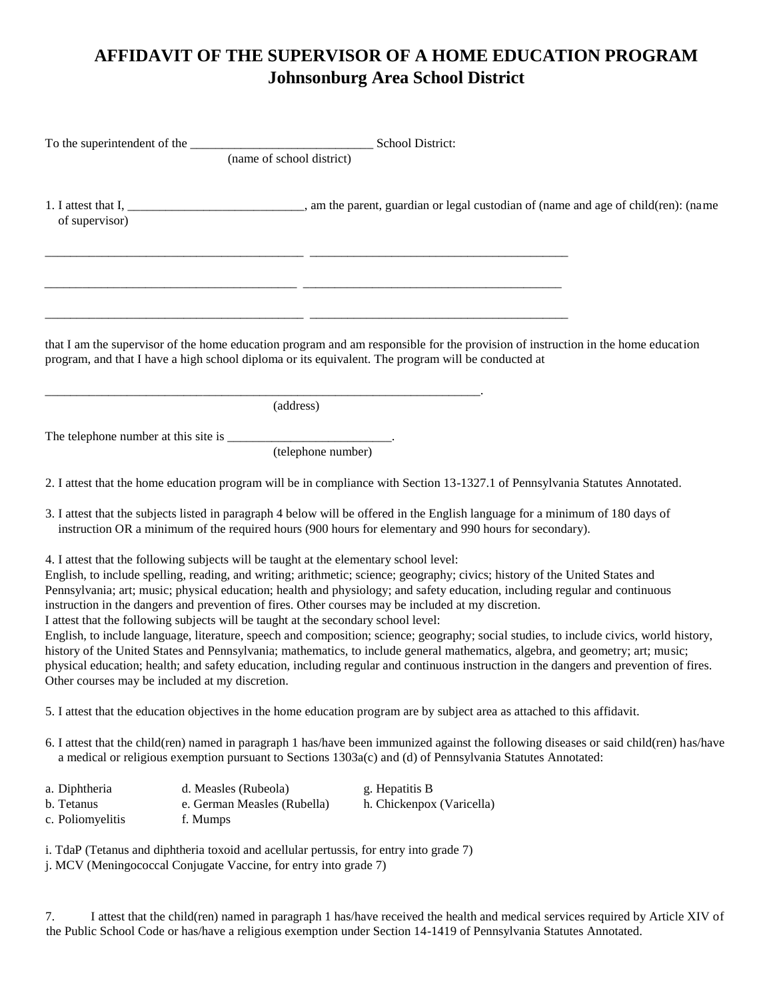## **AFFIDAVIT OF THE SUPERVISOR OF A HOME EDUCATION PROGRAM Johnsonburg Area School District**

|                                                                                                                                                                                                                                 | (name of school district)                                                                                                                                                                                                                                                                                                                                                                                                                                                                                                                                                                                                                                                                                                                                                                 |
|---------------------------------------------------------------------------------------------------------------------------------------------------------------------------------------------------------------------------------|-------------------------------------------------------------------------------------------------------------------------------------------------------------------------------------------------------------------------------------------------------------------------------------------------------------------------------------------------------------------------------------------------------------------------------------------------------------------------------------------------------------------------------------------------------------------------------------------------------------------------------------------------------------------------------------------------------------------------------------------------------------------------------------------|
|                                                                                                                                                                                                                                 |                                                                                                                                                                                                                                                                                                                                                                                                                                                                                                                                                                                                                                                                                                                                                                                           |
| of supervisor)                                                                                                                                                                                                                  | 1. I attest that I, _______________________________, am the parent, guardian or legal custodian of (name and age of child(ren): (name                                                                                                                                                                                                                                                                                                                                                                                                                                                                                                                                                                                                                                                     |
|                                                                                                                                                                                                                                 |                                                                                                                                                                                                                                                                                                                                                                                                                                                                                                                                                                                                                                                                                                                                                                                           |
|                                                                                                                                                                                                                                 | that I am the supervisor of the home education program and am responsible for the provision of instruction in the home education<br>program, and that I have a high school diploma or its equivalent. The program will be conducted at                                                                                                                                                                                                                                                                                                                                                                                                                                                                                                                                                    |
|                                                                                                                                                                                                                                 | (address)                                                                                                                                                                                                                                                                                                                                                                                                                                                                                                                                                                                                                                                                                                                                                                                 |
|                                                                                                                                                                                                                                 |                                                                                                                                                                                                                                                                                                                                                                                                                                                                                                                                                                                                                                                                                                                                                                                           |
|                                                                                                                                                                                                                                 | 2. I attest that the home education program will be in compliance with Section 13-1327.1 of Pennsylvania Statutes Annotated.                                                                                                                                                                                                                                                                                                                                                                                                                                                                                                                                                                                                                                                              |
|                                                                                                                                                                                                                                 | 3. I attest that the subjects listed in paragraph 4 below will be offered in the English language for a minimum of 180 days of<br>instruction OR a minimum of the required hours (900 hours for elementary and 990 hours for secondary).                                                                                                                                                                                                                                                                                                                                                                                                                                                                                                                                                  |
| 4. I attest that the following subjects will be taught at the elementary school level:<br>I attest that the following subjects will be taught at the secondary school level:<br>Other courses may be included at my discretion. | English, to include spelling, reading, and writing; arithmetic; science; geography; civics; history of the United States and<br>Pennsylvania; art; music; physical education; health and physiology; and safety education, including regular and continuous<br>instruction in the dangers and prevention of fires. Other courses may be included at my discretion.<br>English, to include language, literature, speech and composition; science; geography; social studies, to include civics, world history,<br>history of the United States and Pennsylvania; mathematics, to include general mathematics, algebra, and geometry; art; music;<br>physical education; health; and safety education, including regular and continuous instruction in the dangers and prevention of fires. |

5. I attest that the education objectives in the home education program are by subject area as attached to this affidavit.

6. I attest that the child(ren) named in paragraph 1 has/have been immunized against the following diseases or said child(ren) has/have a medical or religious exemption pursuant to Sections 1303a(c) and (d) of Pennsylvania Statutes Annotated:

| a. Diphtheria    | d. Measles (Rubeola)        | g. Hepatitis B            |
|------------------|-----------------------------|---------------------------|
| b. Tetanus       | e. German Measles (Rubella) | h. Chickenpox (Varicella) |
| c. Poliomyelitis | f. Mumps                    |                           |

i. TdaP (Tetanus and diphtheria toxoid and acellular pertussis, for entry into grade 7)

j. MCV (Meningococcal Conjugate Vaccine, for entry into grade 7)

7. I attest that the child(ren) named in paragraph 1 has/have received the health and medical services required by Article XIV of the Public School Code or has/have a religious exemption under Section 14-1419 of Pennsylvania Statutes Annotated.